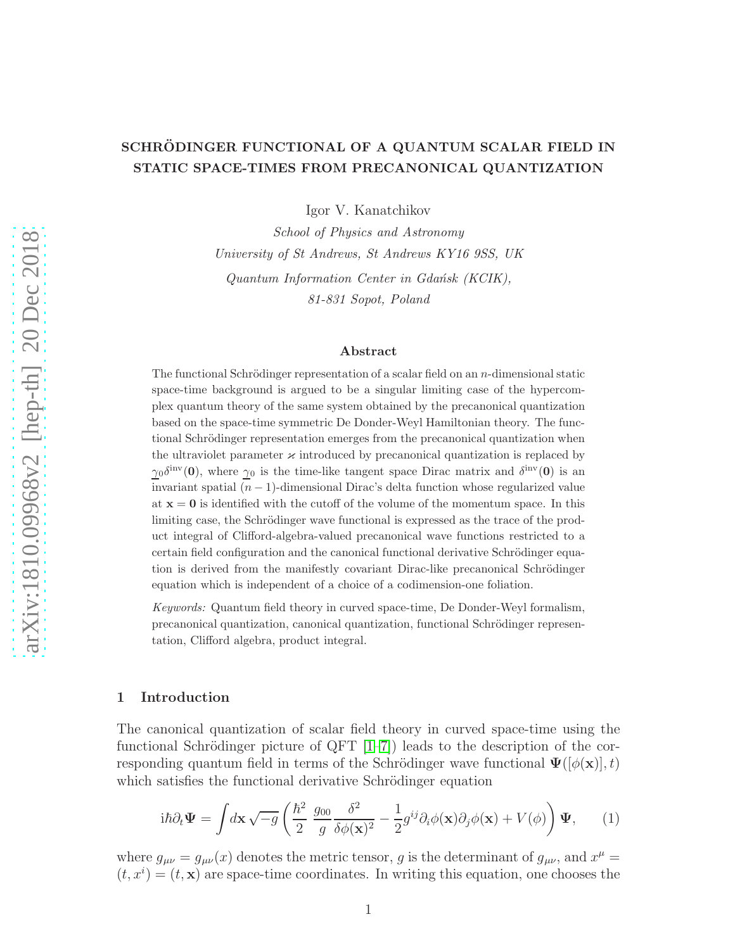# SCHRÖDINGER FUNCTIONAL OF A QUANTUM SCALAR FIELD IN STATIC SPACE-TIMES FROM PRECANONICAL QUANTIZATION

Igor V. Kanatchikov

School of Physics and Astronomy University of St Andrews, St Andrews KY16 9SS, UK  $Quantum Information Center in Gdańsk (KCIK),$ 81-831 Sopot, Poland

#### Abstract

The functional Schrödinger representation of a scalar field on an  $n$ -dimensional static space-time background is argued to be a singular limiting case of the hypercomplex quantum theory of the same system obtained by the precanonical quantization based on the space-time symmetric De Donder-Weyl Hamiltonian theory. The functional Schrödinger representation emerges from the precanonical quantization when the ultraviolet parameter  $\varkappa$  introduced by precanonical quantization is replaced by  $\gamma_0 \delta^{\text{inv}}(0)$ , where  $\gamma_0$  is the time-like tangent space Dirac matrix and  $\delta^{\text{inv}}(0)$  is an invariant spatial  $(n-1)$ -dimensional Dirac's delta function whose regularized value at  $x = 0$  is identified with the cutoff of the volume of the momentum space. In this limiting case, the Schrödinger wave functional is expressed as the trace of the product integral of Clifford-algebra-valued precanonical wave functions restricted to a certain field configuration and the canonical functional derivative Schrödinger equation is derived from the manifestly covariant Dirac-like precanonical Schrödinger equation which is independent of a choice of a codimension-one foliation.

Keywords: Quantum field theory in curved space-time, De Donder-Weyl formalism, precanonical quantization, canonical quantization, functional Schrödinger representation, Clifford algebra, product integral.

### 1 Introduction

The canonical quantization of scalar field theory in curved space-time using the functional Schrödinger picture of QFT  $[1-7]$ ) leads to the description of the corresponding quantum field in terms of the Schrödinger wave functional  $\Psi([\phi(\mathbf{x})], t)$ which satisfies the functional derivative Schrödinger equation

<span id="page-0-0"></span>
$$
i\hbar\partial_t \Psi = \int d\mathbf{x} \sqrt{-g} \left( \frac{\hbar^2}{2} \frac{g_{00}}{g} \frac{\delta^2}{\delta \phi(\mathbf{x})^2} - \frac{1}{2} g^{ij} \partial_i \phi(\mathbf{x}) \partial_j \phi(\mathbf{x}) + V(\phi) \right) \Psi, \qquad (1)
$$

where  $g_{\mu\nu} = g_{\mu\nu}(x)$  denotes the metric tensor, g is the determinant of  $g_{\mu\nu}$ , and  $x^{\mu} =$  $(t, x<sup>i</sup>) = (t, x)$  are space-time coordinates. In writing this equation, one chooses the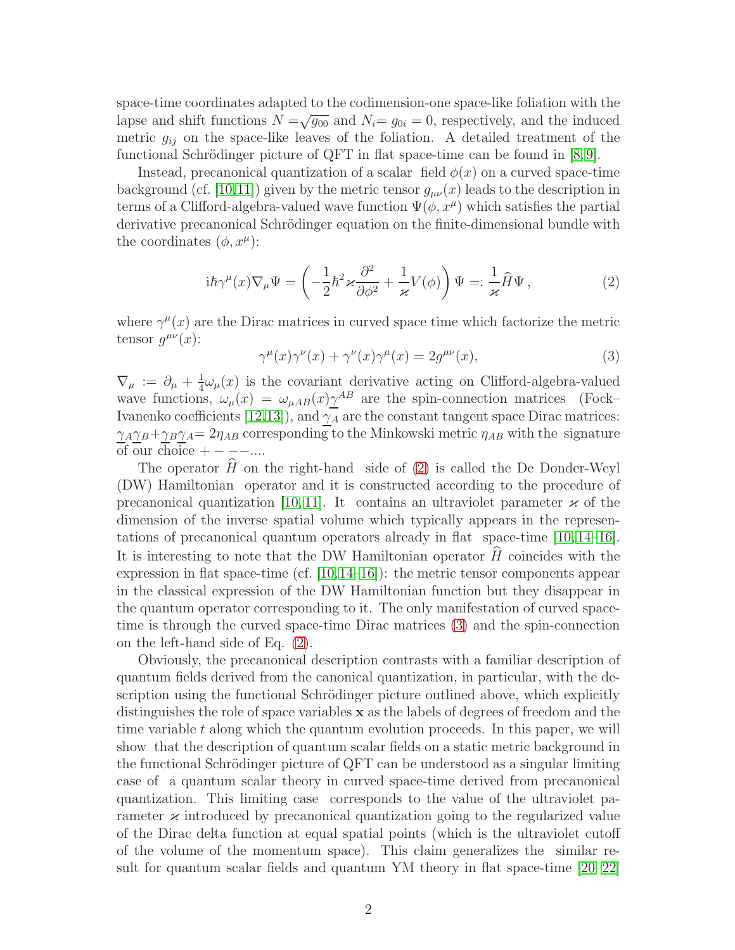space-time coordinates adapted to the codimension-one space-like foliation with the lapse and shift functions  $\hat{N} = \sqrt{g_{00}}$  and  $N_i = g_{0i} = 0$ , respectively, and the induced metric  $g_{ij}$  on the space-like leaves of the foliation. A detailed treatment of the functional Schrödinger picture of QFT in flat space-time can be found in  $[8, 9]$  $[8, 9]$ .

Instead, precanonical quantization of a scalar field  $\phi(x)$  on a curved space-time background (cf. [\[10,](#page-12-4)[11\]](#page-12-5)) given by the metric tensor  $g_{\mu\nu}(x)$  leads to the description in terms of a Clifford-algebra-valued wave function  $\Psi(\phi, x^{\mu})$  which satisfies the partial derivative precanonical Schrödinger equation on the finite-dimensional bundle with the coordinates  $(\phi, x^{\mu})$ :

<span id="page-1-0"></span>
$$
i\hbar\gamma^{\mu}(x)\nabla_{\mu}\Psi = \left(-\frac{1}{2}\hbar^2\varkappa\frac{\partial^2}{\partial\phi^2} + \frac{1}{\varkappa}V(\phi)\right)\Psi =: \frac{1}{\varkappa}\widehat{H}\Psi\,,\tag{2}
$$

where  $\gamma^{\mu}(x)$  are the Dirac matrices in curved space time which factorize the metric tensor  $g^{\mu\nu}(x)$ :

<span id="page-1-1"></span>
$$
\gamma^{\mu}(x)\gamma^{\nu}(x) + \gamma^{\nu}(x)\gamma^{\mu}(x) = 2g^{\mu\nu}(x),\tag{3}
$$

 $\nabla_\mu\,:=\,\partial_\mu+\frac{1}{4}$  $\frac{1}{4}\omega_{\mu}(x)$  is the covariant derivative acting on Clifford-algebra-valued wave functions,  $\omega_{\mu}(x) = \omega_{\mu AB}(x) \gamma^{AB}$  are the spin-connection matrices (Fock-Ivanenko coefficients [\[12](#page-12-6)[,13\]](#page-12-7)), and  $\gamma_A$  are the constant tangent space Dirac matrices:  $\gamma_A \gamma_B + \gamma_B \gamma_A = 2\eta_{AB}$  corresponding to the Minkowski metric  $\eta_{AB}$  with the signature of our choice  $+ - - -$ ....

The operator  $\hat{H}$  on the right-hand side of [\(2\)](#page-1-0) is called the De Donder-Weyl (DW) Hamiltonian operator and it is constructed according to the procedure of precanonical quantization [\[10,](#page-12-4) [11\]](#page-12-5). It contains an ultraviolet parameter  $\varkappa$  of the dimension of the inverse spatial volume which typically appears in the representations of precanonical quantum operators already in flat space-time [\[10,](#page-12-4) [14–](#page-12-8)[16\]](#page-12-9). It is interesting to note that the DW Hamiltonian operator  $\hat{H}$  coincides with the expression in flat space-time (cf. [\[10,](#page-12-4)[14](#page-12-8)[–16\]](#page-12-9)): the metric tensor components appear in the classical expression of the DW Hamiltonian function but they disappear in the quantum operator corresponding to it. The only manifestation of curved spacetime is through the curved space-time Dirac matrices [\(3\)](#page-1-1) and the spin-connection on the left-hand side of Eq. [\(2\)](#page-1-0).

Obviously, the precanonical description contrasts with a familiar description of quantum fields derived from the canonical quantization, in particular, with the description using the functional Schrödinger picture outlined above, which explicitly distinguishes the role of space variables x as the labels of degrees of freedom and the time variable  $t$  along which the quantum evolution proceeds. In this paper, we will show that the description of quantum scalar fields on a static metric background in the functional Schrödinger picture of QFT can be understood as a singular limiting case of a quantum scalar theory in curved space-time derived from precanonical quantization. This limiting case corresponds to the value of the ultraviolet parameter  $\varkappa$  introduced by precanonical quantization going to the regularized value of the Dirac delta function at equal spatial points (which is the ultraviolet cutoff of the volume of the momentum space). This claim generalizes the similar result for quantum scalar fields and quantum YM theory in flat space-time [\[20–](#page-13-0)[22\]](#page-13-1)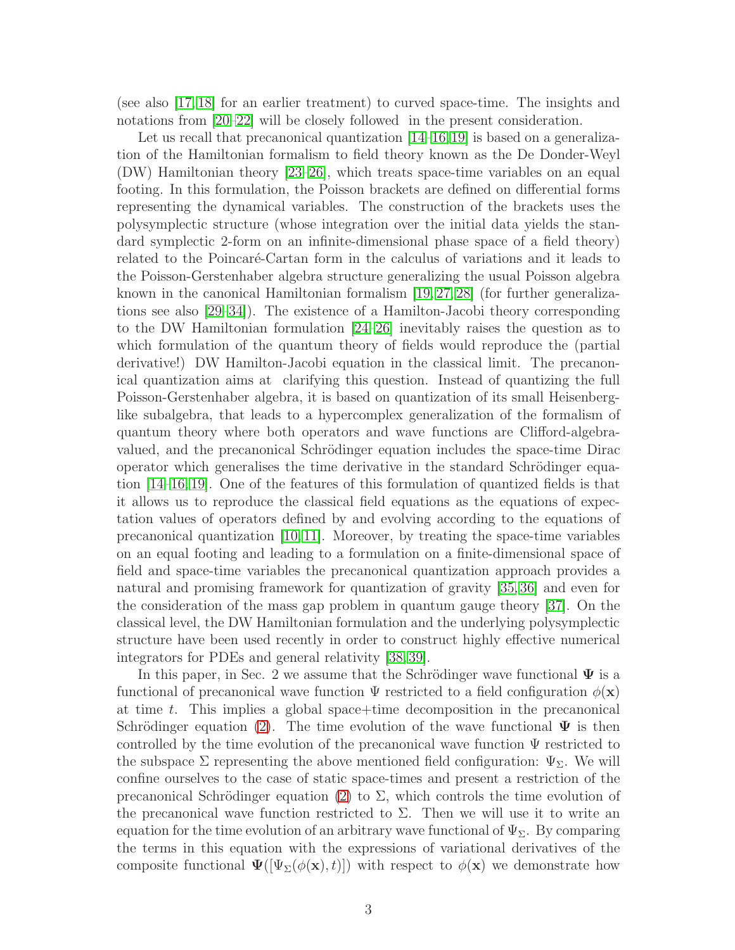(see also [\[17,](#page-12-10) [18\]](#page-12-11) for an earlier treatment) to curved space-time. The insights and notations from [\[20](#page-13-0)[–22\]](#page-13-1) will be closely followed in the present consideration.

Let us recall that precanonical quantization [\[14–](#page-12-8)[16,](#page-12-9)[19\]](#page-13-2) is based on a generalization of the Hamiltonian formalism to field theory known as the De Donder-Weyl (DW) Hamiltonian theory [\[23–](#page-13-3)[26\]](#page-13-4), which treats space-time variables on an equal footing. In this formulation, the Poisson brackets are defined on differential forms representing the dynamical variables. The construction of the brackets uses the polysymplectic structure (whose integration over the initial data yields the standard symplectic 2-form on an infinite-dimensional phase space of a field theory) related to the Poincaré-Cartan form in the calculus of variations and it leads to the Poisson-Gerstenhaber algebra structure generalizing the usual Poisson algebra known in the canonical Hamiltonian formalism [\[19,](#page-13-2) [27,](#page-13-5) [28\]](#page-13-6) (for further generalizations see also [\[29–](#page-13-7)[34\]](#page-13-8)). The existence of a Hamilton-Jacobi theory corresponding to the DW Hamiltonian formulation [\[24](#page-13-9)[–26\]](#page-13-4) inevitably raises the question as to which formulation of the quantum theory of fields would reproduce the (partial derivative!) DW Hamilton-Jacobi equation in the classical limit. The precanonical quantization aims at clarifying this question. Instead of quantizing the full Poisson-Gerstenhaber algebra, it is based on quantization of its small Heisenberglike subalgebra, that leads to a hypercomplex generalization of the formalism of quantum theory where both operators and wave functions are Clifford-algebravalued, and the precanonical Schrödinger equation includes the space-time Dirac operator which generalises the time derivative in the standard Schrödinger equation [\[14](#page-12-8)[–16,](#page-12-9) [19\]](#page-13-2). One of the features of this formulation of quantized fields is that it allows us to reproduce the classical field equations as the equations of expectation values of operators defined by and evolving according to the equations of precanonical quantization  $[10, 11]$  $[10, 11]$ . Moreover, by treating the space-time variables on an equal footing and leading to a formulation on a finite-dimensional space of field and space-time variables the precanonical quantization approach provides a natural and promising framework for quantization of gravity [\[35,](#page-13-10) [36\]](#page-14-0) and even for the consideration of the mass gap problem in quantum gauge theory [\[37\]](#page-14-1). On the classical level, the DW Hamiltonian formulation and the underlying polysymplectic structure have been used recently in order to construct highly effective numerical integrators for PDEs and general relativity [\[38,](#page-14-2) [39\]](#page-14-3).

In this paper, in Sec. 2 we assume that the Schrödinger wave functional  $\Psi$  is a functional of precanonical wave function  $\Psi$  restricted to a field configuration  $\phi(\mathbf{x})$ at time t. This implies a global space+time decomposition in the precanonical Schrödinger equation [\(2\)](#page-1-0). The time evolution of the wave functional  $\Psi$  is then controlled by the time evolution of the precanonical wave function  $\Psi$  restricted to the subspace  $\Sigma$  representing the above mentioned field configuration:  $\Psi_{\Sigma}$ . We will confine ourselves to the case of static space-times and present a restriction of the precanonical Schrödinger equation [\(2\)](#page-1-0) to  $\Sigma$ , which controls the time evolution of the precanonical wave function restricted to  $\Sigma$ . Then we will use it to write an equation for the time evolution of an arbitrary wave functional of  $\Psi_{\Sigma}$ . By comparing the terms in this equation with the expressions of variational derivatives of the composite functional  $\Psi([\Psi_{\Sigma}(\phi(\mathbf{x}), t)])$  with respect to  $\phi(\mathbf{x})$  we demonstrate how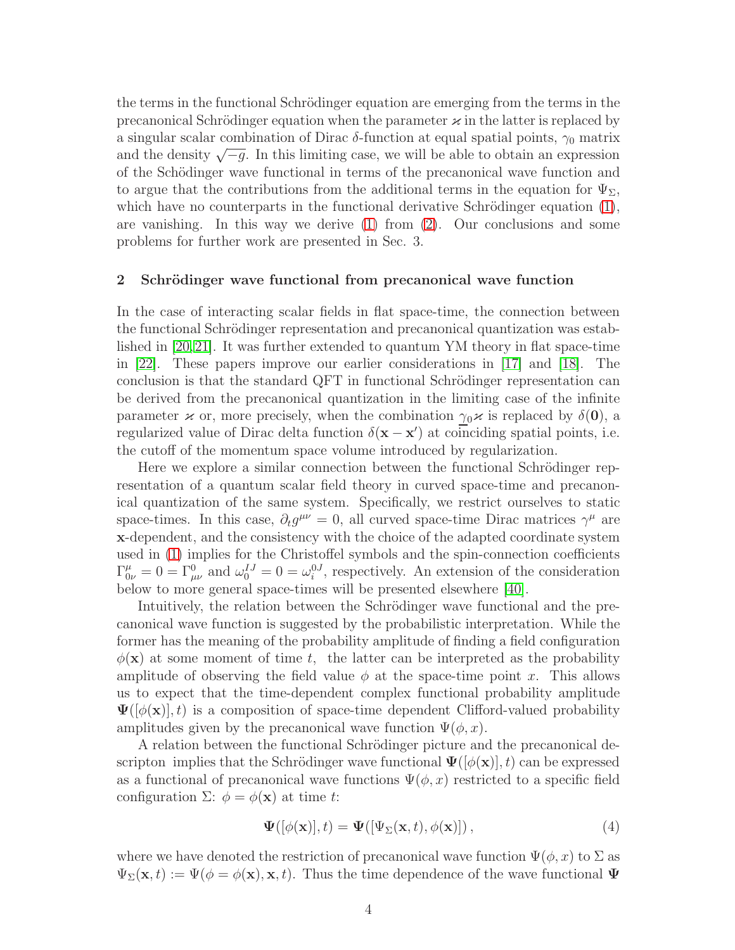the terms in the functional Schrödinger equation are emerging from the terms in the precanonical Schrödinger equation when the parameter  $\varkappa$  in the latter is replaced by a singular scalar combination of Dirac δ-function at equal spatial points,  $\gamma_0$  matrix and the density  $\sqrt{-g}$ . In this limiting case, we will be able to obtain an expression of the Schödinger wave functional in terms of the precanonical wave function and to argue that the contributions from the additional terms in the equation for  $\Psi_{\Sigma}$ , which have no counterparts in the functional derivative Schrödinger equation  $(1)$ , are vanishing. In this way we derive  $(1)$  from  $(2)$ . Our conclusions and some problems for further work are presented in Sec. 3.

## 2 Schrödinger wave functional from precanonical wave function

In the case of interacting scalar fields in flat space-time, the connection between the functional Schrödinger representation and precanonical quantization was established in [\[20,](#page-13-0)[21\]](#page-13-11). It was further extended to quantum YM theory in flat space-time in [\[22\]](#page-13-1). These papers improve our earlier considerations in [\[17\]](#page-12-10) and [\[18\]](#page-12-11). The conclusion is that the standard QFT in functional Schrödinger representation can be derived from the precanonical quantization in the limiting case of the infinite parameter  $\varkappa$  or, more precisely, when the combination  $\gamma_0 \varkappa$  is replaced by  $\delta(\mathbf{0})$ , a regularized value of Dirac delta function  $\delta(\mathbf{x} - \mathbf{x}')$  at coinciding spatial points, i.e. the cutoff of the momentum space volume introduced by regularization.

Here we explore a similar connection between the functional Schrödinger representation of a quantum scalar field theory in curved space-time and precanonical quantization of the same system. Specifically, we restrict ourselves to static space-times. In this case,  $\partial_t g^{\mu\nu} = 0$ , all curved space-time Dirac matrices  $\gamma^{\mu}$  are x-dependent, and the consistency with the choice of the adapted coordinate system used in [\(1\)](#page-0-0) implies for the Christoffel symbols and the spin-connection coefficients  $\Gamma^{\mu}_{0\nu} = 0 = \Gamma^0_{\mu\nu}$  and  $\omega_0^{IJ} = 0 = \omega_i^{0J}$ , respectively. An extension of the consideration below to more general space-times will be presented elsewhere [\[40\]](#page-14-4).

Intuitively, the relation between the Schrödinger wave functional and the precanonical wave function is suggested by the probabilistic interpretation. While the former has the meaning of the probability amplitude of finding a field configuration  $\phi(\mathbf{x})$  at some moment of time t, the latter can be interpreted as the probability amplitude of observing the field value  $\phi$  at the space-time point x. This allows us to expect that the time-dependent complex functional probability amplitude  $\Psi([\phi(\mathbf{x})], t)$  is a composition of space-time dependent Clifford-valued probability amplitudes given by the precanonical wave function  $\Psi(\phi, x)$ .

A relation between the functional Schrödinger picture and the precanonical descripton implies that the Schrödinger wave functional  $\Psi([\phi(\mathbf{x})], t)$  can be expressed as a functional of precanonical wave functions  $\Psi(\phi, x)$  restricted to a specific field configuration  $\Sigma: \phi = \phi(\mathbf{x})$  at time t:

<span id="page-3-0"></span>
$$
\mathbf{\Psi}([\phi(\mathbf{x})],t) = \mathbf{\Psi}([\Psi_{\Sigma}(\mathbf{x},t),\phi(\mathbf{x})]),\tag{4}
$$

where we have denoted the restriction of precanonical wave function  $\Psi(\phi, x)$  to  $\Sigma$  as  $\Psi_{\Sigma}(\mathbf{x},t) := \Psi(\phi = \phi(\mathbf{x}), \mathbf{x},t)$ . Thus the time dependence of the wave functional  $\Psi$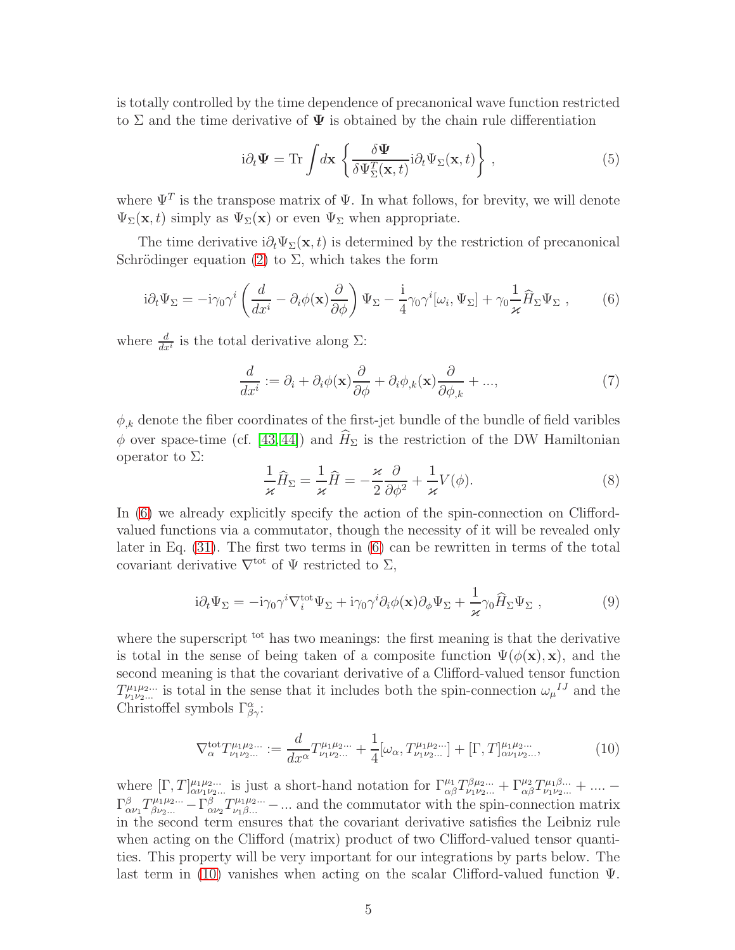is totally controlled by the time dependence of precanonical wave function restricted to  $\Sigma$  and the time derivative of  $\Psi$  is obtained by the chain rule differentiation

<span id="page-4-3"></span>
$$
i\partial_t \Psi = \text{Tr} \int d\mathbf{x} \left\{ \frac{\delta \Psi}{\delta \Psi_{\Sigma}^T(\mathbf{x},t)} i\partial_t \Psi_{\Sigma}(\mathbf{x},t) \right\},\tag{5}
$$

where  $\Psi^T$  is the transpose matrix of  $\Psi$ . In what follows, for brevity, we will denote  $\Psi_{\Sigma}(\mathbf{x}, t)$  simply as  $\Psi_{\Sigma}(\mathbf{x})$  or even  $\Psi_{\Sigma}$  when appropriate.

The time derivative  $i\partial_t \Psi_{\Sigma}(\mathbf{x}, t)$  is determined by the restriction of precanonical Schrödinger equation [\(2\)](#page-1-0) to  $\Sigma$ , which takes the form

<span id="page-4-0"></span>
$$
i\partial_t \Psi_\Sigma = -i\gamma_0 \gamma^i \left( \frac{d}{dx^i} - \partial_i \phi(\mathbf{x}) \frac{\partial}{\partial \phi} \right) \Psi_\Sigma - \frac{i}{4} \gamma_0 \gamma^i [\omega_i, \Psi_\Sigma] + \gamma_0 \frac{1}{\varkappa} \widehat{H}_\Sigma \Psi_\Sigma ,\qquad (6)
$$

where  $\frac{d}{dx^i}$  is the total derivative along  $\Sigma$ :

<span id="page-4-2"></span>
$$
\frac{d}{dx^{i}} := \partial_{i} + \partial_{i}\phi(\mathbf{x})\frac{\partial}{\partial\phi} + \partial_{i}\phi_{,k}(\mathbf{x})\frac{\partial}{\partial\phi_{,k}} + ..., \qquad (7)
$$

 $\phi_{k}$  denote the fiber coordinates of the first-jet bundle of the bundle of field varibles  $\phi$  over space-time (cf. [\[43,](#page-14-5) [44\]](#page-14-6)) and  $\widehat{H}_{\Sigma}$  is the restriction of the DW Hamiltonian operator to  $Σ$ :

<span id="page-4-4"></span>
$$
\frac{1}{\varkappa}\widehat{H}_{\Sigma} = \frac{1}{\varkappa}\widehat{H} = -\frac{\varkappa}{2}\frac{\partial}{\partial\phi^2} + \frac{1}{\varkappa}V(\phi). \tag{8}
$$

In [\(6\)](#page-4-0) we already explicitly specify the action of the spin-connection on Cliffordvalued functions via a commutator, though the necessity of it will be revealed only later in Eq. [\(31\)](#page-8-0). The first two terms in [\(6\)](#page-4-0) can be rewritten in terms of the total covariant derivative  $\nabla^{\text{tot}}$  of  $\Psi$  restricted to  $\Sigma$ ,

$$
i\partial_t \Psi_{\Sigma} = -i\gamma_0 \gamma^i \nabla_i^{\rm tot} \Psi_{\Sigma} + i\gamma_0 \gamma^i \partial_i \phi(\mathbf{x}) \partial_{\phi} \Psi_{\Sigma} + \frac{1}{\varkappa} \gamma_0 \widehat{H}_{\Sigma} \Psi_{\Sigma} , \qquad (9)
$$

where the superscript <sup>tot</sup> has two meanings: the first meaning is that the derivative is total in the sense of being taken of a composite function  $\Psi(\phi(\mathbf{x}), \mathbf{x})$ , and the second meaning is that the covariant derivative of a Clifford-valued tensor function  $T^{\mu_1\mu_2...}_{\nu_1\nu_2...}$  is total in the sense that it includes both the spin-connection  $\omega_\mu^{IJ}$  and the Christoffel symbols  $\Gamma^{\alpha}_{\beta\gamma}$ :

<span id="page-4-1"></span>
$$
\nabla_{\alpha}^{\text{tot}} T^{\mu_1 \mu_2 \dots}_{\nu_1 \nu_2 \dots} := \frac{d}{dx^{\alpha}} T^{\mu_1 \mu_2 \dots}_{\nu_1 \nu_2 \dots} + \frac{1}{4} [\omega_{\alpha}, T^{\mu_1 \mu_2 \dots}_{\nu_1 \nu_2 \dots}] + [\Gamma, T]^{\mu_1 \mu_2 \dots}_{\alpha \nu_1 \nu_2 \dots},
$$
(10)

where  $[\Gamma, T]_{\alpha\nu_1\nu_2...}^{\mu_1\mu_2...}$  is just a short-hand notation for  $\Gamma_{\alpha\beta}^{\mu_1}T_{\nu_1\nu_2...}^{\mu_1}\ + \ \Gamma_{\alpha\beta}^{\mu_2}T_{\nu_1\nu_2...}^{\mu_2}\ + \ \ldots \ \Gamma_{\alpha\nu_1}^{\beta}T_{\beta\nu_2\ldots}^{\mu_1\mu_2\ldots}-\Gamma_{\alpha\nu_2}^{\beta}T_{\nu_1\beta\ldots}^{\mu_1\mu_2\ldots}-\ldots$  and the commutator with the spin-connection matrix in the second term ensures that the covariant derivative satisfies the Leibniz rule when acting on the Clifford (matrix) product of two Clifford-valued tensor quantities. This property will be very important for our integrations by parts below. The last term in [\(10\)](#page-4-1) vanishes when acting on the scalar Clifford-valued function Ψ.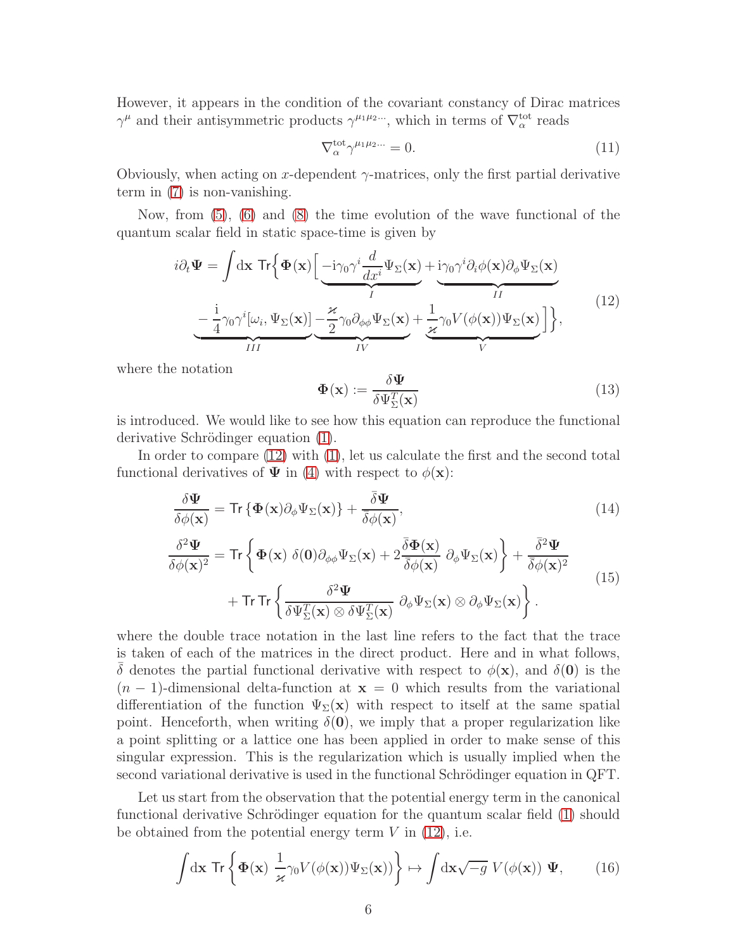However, it appears in the condition of the covariant constancy of Dirac matrices  $\gamma^{\mu}$  and their antisymmetric products  $\gamma^{\mu_1\mu_2\ldots}$ , which in terms of  $\nabla^{\text{tot}}_{\alpha}$  reads

<span id="page-5-3"></span>
$$
\nabla_{\alpha}^{\text{tot}} \gamma^{\mu_1 \mu_2 \dots} = 0. \tag{11}
$$

Obviously, when acting on x-dependent  $\gamma$ -matrices, only the first partial derivative term in [\(7\)](#page-4-2) is non-vanishing.

Now, from [\(5\)](#page-4-3), [\(6\)](#page-4-0) and [\(8\)](#page-4-4) the time evolution of the wave functional of the quantum scalar field in static space-time is given by

$$
i\partial_t \Psi = \int \mathrm{d}\mathbf{x} \,\mathrm{Tr}\Big\{\Phi(\mathbf{x})\Big[\underbrace{-i\gamma_0\gamma^i \frac{d}{dx^i}\Psi_{\Sigma}(\mathbf{x})}_{I} + \underbrace{i\gamma_0\gamma^i\partial_i\phi(\mathbf{x})\partial_{\phi}\Psi_{\Sigma}(\mathbf{x})}_{II}\Big]\n\underbrace{-\frac{i}{4}\gamma_0\gamma^i[\omega_i,\Psi_{\Sigma}(\mathbf{x})]\underbrace{-\frac{\varkappa}{2}\gamma_0\partial_{\phi\phi}\Psi_{\Sigma}(\mathbf{x})}_{IV} + \frac{1}{\varkappa}\gamma_0V(\phi(\mathbf{x}))\Psi_{\Sigma}(\mathbf{x})}\Big]\Big\},\tag{12}
$$

where the notation

<span id="page-5-2"></span><span id="page-5-1"></span><span id="page-5-0"></span>
$$
\Phi(\mathbf{x}) := \frac{\delta \Psi}{\delta \Psi_{\Sigma}^{T}(\mathbf{x})}
$$
(13)

is introduced. We would like to see how this equation can reproduce the functional derivative Schrödinger equation [\(1\)](#page-0-0).

In order to compare [\(12\)](#page-5-0) with [\(1\)](#page-0-0), let us calculate the first and the second total functional derivatives of  $\Psi$  in [\(4\)](#page-3-0) with respect to  $\phi(\mathbf{x})$ :

$$
\frac{\delta \Psi}{\delta \phi(\mathbf{x})} = \text{Tr}\left\{\Phi(\mathbf{x})\partial_{\phi}\Psi_{\Sigma}(\mathbf{x})\right\} + \frac{\bar{\delta}\Psi}{\bar{\delta}\phi(\mathbf{x})},\tag{14}
$$

$$
\frac{\delta^2 \Psi}{\delta \phi(\mathbf{x})^2} = \text{Tr} \left\{ \Phi(\mathbf{x}) \ \delta(\mathbf{0}) \partial_{\phi\phi} \Psi_{\Sigma}(\mathbf{x}) + 2 \frac{\bar{\delta} \Phi(\mathbf{x})}{\bar{\delta} \phi(\mathbf{x})} \ \partial_{\phi} \Psi_{\Sigma}(\mathbf{x}) \right\} + \frac{\bar{\delta}^2 \Psi}{\bar{\delta} \phi(\mathbf{x})^2} \n+ \text{Tr} \text{Tr} \left\{ \frac{\delta^2 \Psi}{\delta \Psi_{\Sigma}^T(\mathbf{x}) \otimes \delta \Psi_{\Sigma}^T(\mathbf{x})} \ \partial_{\phi} \Psi_{\Sigma}(\mathbf{x}) \otimes \partial_{\phi} \Psi_{\Sigma}(\mathbf{x}) \right\}.
$$
\n(15)

where the double trace notation in the last line refers to the fact that the trace is taken of each of the matrices in the direct product. Here and in what follows,  $\delta$  denotes the partial functional derivative with respect to  $\phi(\mathbf{x})$ , and  $\delta(\mathbf{0})$  is the  $(n-1)$ -dimensional delta-function at  $x = 0$  which results from the variational differentiation of the function  $\Psi_{\Sigma}(\mathbf{x})$  with respect to itself at the same spatial point. Henceforth, when writing  $\delta(\mathbf{0})$ , we imply that a proper regularization like a point splitting or a lattice one has been applied in order to make sense of this singular expression. This is the regularization which is usually implied when the second variational derivative is used in the functional Schrödinger equation in QFT.

Let us start from the observation that the potential energy term in the canonical functional derivative Schrödinger equation for the quantum scalar field  $(1)$  should be obtained from the potential energy term  $V$  in [\(12\)](#page-5-0), i.e.

$$
\int d\mathbf{x} \operatorname{Tr} \left\{ \Phi(\mathbf{x}) \frac{1}{\varkappa} \gamma_0 V(\phi(\mathbf{x})) \Psi_\Sigma(\mathbf{x}) \right\} \mapsto \int d\mathbf{x} \sqrt{-g} \ V(\phi(\mathbf{x})) \ \Psi, \tag{16}
$$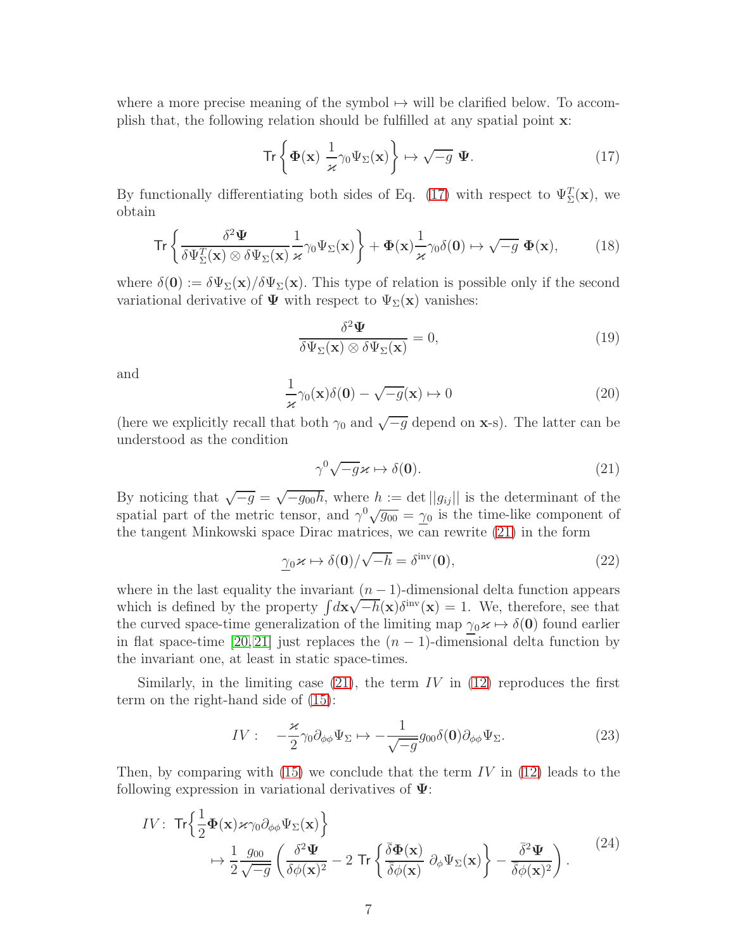where a more precise meaning of the symbol  $\rightarrow$  will be clarified below. To accomplish that, the following relation should be fulfilled at any spatial point x:

<span id="page-6-0"></span>
$$
\operatorname{Tr}\left\{\Phi(\mathbf{x})\ \frac{1}{\varkappa}\gamma_0\Psi_\Sigma(\mathbf{x})\right\} \mapsto \sqrt{-g}\ \Psi. \tag{17}
$$

By functionally differentiating both sides of Eq. [\(17\)](#page-6-0) with respect to  $\Psi_{\Sigma}^{T}(\mathbf{x})$ , we obtain

$$
\operatorname{Tr}\left\{\frac{\delta^2\Psi}{\delta\Psi_{\Sigma}^T(\mathbf{x})\otimes\delta\Psi_{\Sigma}(\mathbf{x})}\frac{1}{\varkappa}\gamma_0\Psi_{\Sigma}(\mathbf{x})\right\}+\Phi(\mathbf{x})\frac{1}{\varkappa}\gamma_0\delta(\mathbf{0})\mapsto\sqrt{-g}\ \Phi(\mathbf{x}),\tag{18}
$$

where  $\delta(\mathbf{0}) := \delta \Psi_{\Sigma}(\mathbf{x}) / \delta \Psi_{\Sigma}(\mathbf{x})$ . This type of relation is possible only if the second variational derivative of  $\Psi$  with respect to  $\Psi_{\Sigma}(\mathbf{x})$  vanishes:

<span id="page-6-3"></span>
$$
\frac{\delta^2 \Psi}{\delta \Psi_\Sigma(\mathbf{x}) \otimes \delta \Psi_\Sigma(\mathbf{x})} = 0, \tag{19}
$$

and

$$
\frac{1}{\kappa}\gamma_0(\mathbf{x})\delta(\mathbf{0}) - \sqrt{-g}(\mathbf{x}) \mapsto 0
$$
\n(20)

(here we explicitly recall that both  $\gamma_0$  and  $\sqrt{-g}$  depend on x-s). The latter can be understood as the condition

<span id="page-6-1"></span>
$$
\gamma^0 \sqrt{-g} \varkappa \mapsto \delta(\mathbf{0}).\tag{21}
$$

By noticing that  $\sqrt{-g} = \sqrt{-g_{00}h}$ , where  $h := \det ||g_{ij}||$  is the determinant of the spatial part of the metric tensor, and  $\gamma^0 \sqrt{g_{00}} = \gamma_0$  is the time-like component of the tangent Minkowski space Dirac matrices, we can rewrite [\(21\)](#page-6-1) in the form

<span id="page-6-4"></span>
$$
\underline{\gamma}_0 \varkappa \mapsto \delta(0) / \sqrt{-h} = \delta^{\text{inv}}(0), \tag{22}
$$

where in the last equality the invariant  $(n - 1)$ -dimensional delta function appears which is defined by the property  $\int d\mathbf{x} \sqrt{-h}(\mathbf{x}) \delta^{\text{inv}}(\mathbf{x}) = 1$ . We, therefore, see that the curved space-time generalization of the limiting map  $\gamma_0 \varkappa \mapsto \delta(0)$  found earlier in flat space-time [\[20,](#page-13-0) [21\]](#page-13-11) just replaces the  $(n - 1)$ -dimensional delta function by the invariant one, at least in static space-times.

Similarly, in the limiting case  $(21)$ , the term IV in  $(12)$  reproduces the first term on the right-hand side of [\(15\)](#page-5-1):

<span id="page-6-2"></span>
$$
IV: \quad -\frac{\varkappa}{2}\gamma_0 \partial_{\phi\phi} \Psi_{\Sigma} \mapsto -\frac{1}{\sqrt{-g}}g_{00}\delta(\mathbf{0})\partial_{\phi\phi} \Psi_{\Sigma}. \tag{23}
$$

Then, by comparing with  $(15)$  we conclude that the term IV in  $(12)$  leads to the following expression in variational derivatives of  $\Psi$ :

$$
IV: \operatorname{Tr}\left\{\frac{1}{2}\Phi(\mathbf{x})\varkappa\gamma_0\partial_{\phi\phi}\Psi_{\Sigma}(\mathbf{x})\right\}\n\mapsto \frac{1}{2}\frac{g_{00}}{\sqrt{-g}}\left(\frac{\delta^2\Psi}{\delta\phi(\mathbf{x})^2} - 2\operatorname{Tr}\left\{\frac{\bar{\delta}\Phi(\mathbf{x})}{\bar{\delta}\phi(\mathbf{x})}\partial_{\phi}\Psi_{\Sigma}(\mathbf{x})\right\} - \frac{\bar{\delta}^2\Psi}{\bar{\delta}\phi(\mathbf{x})^2}\right).
$$
\n(24)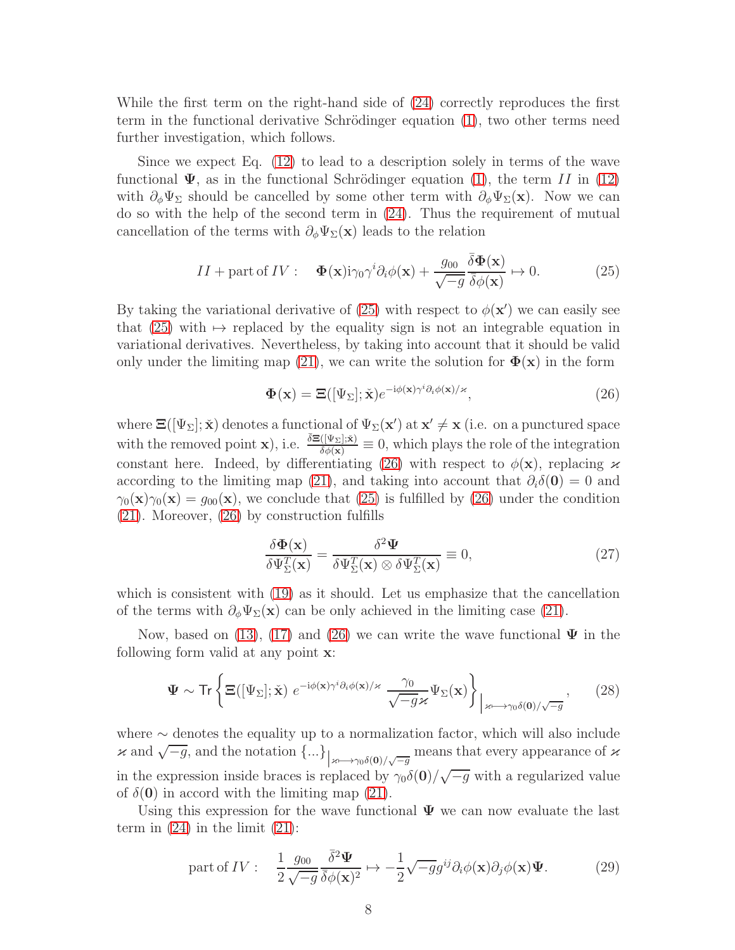While the first term on the right-hand side of [\(24\)](#page-6-2) correctly reproduces the first term in the functional derivative Schrödinger equation  $(1)$ , two other terms need further investigation, which follows.

Since we expect Eq. [\(12\)](#page-5-0) to lead to a description solely in terms of the wave functional  $\Psi$ , as in the functional Schrödinger equation [\(1\)](#page-0-0), the term II in [\(12\)](#page-5-0) with  $\partial_{\phi} \Psi_{\Sigma}$  should be cancelled by some other term with  $\partial_{\phi} \Psi_{\Sigma}(\mathbf{x})$ . Now we can do so with the help of the second term in [\(24\)](#page-6-2). Thus the requirement of mutual cancellation of the terms with  $\partial_{\phi} \Psi_{\Sigma}(\mathbf{x})$  leads to the relation

<span id="page-7-0"></span>
$$
II + \text{part of } IV: \quad \Phi(\mathbf{x}) \text{i}\gamma_0 \gamma^i \partial_i \phi(\mathbf{x}) + \frac{g_{00}}{\sqrt{-g}} \frac{\bar{\delta} \Phi(\mathbf{x})}{\bar{\delta} \phi(\mathbf{x})} \mapsto 0. \tag{25}
$$

By taking the variational derivative of [\(25\)](#page-7-0) with respect to  $\phi(\mathbf{x}')$  we can easily see that [\(25\)](#page-7-0) with  $\mapsto$  replaced by the equality sign is not an integrable equation in variational derivatives. Nevertheless, by taking into account that it should be valid only under the limiting map [\(21\)](#page-6-1), we can write the solution for  $\Phi(\mathbf{x})$  in the form

<span id="page-7-1"></span>
$$
\Phi(\mathbf{x}) = \Xi([\Psi_{\Sigma}]; \check{\mathbf{x}}) e^{-i\phi(\mathbf{x})\gamma^i \partial_i \phi(\mathbf{x})/x}, \qquad (26)
$$

where  $\Xi([\Psi_{\Sigma}]; \check{\mathbf{x}})$  denotes a functional of  $\Psi_{\Sigma}(\mathbf{x}')$  at  $\mathbf{x}' \neq \mathbf{x}$  (i.e. on a punctured space with the removed point **x**), i.e.  $\frac{\bar{\delta} \Xi([\Psi_{\Sigma}];\dot{x})}{\bar{\delta} \phi(\mathbf{x})} \equiv 0$ , which plays the role of the integration constant here. Indeed, by differentiating [\(26\)](#page-7-1) with respect to  $\phi(\mathbf{x})$ , replacing  $\kappa$ according to the limiting map [\(21\)](#page-6-1), and taking into account that  $\partial_i \delta(\mathbf{0}) = 0$  and  $\gamma_0(\mathbf{x})\gamma_0(\mathbf{x}) = g_{00}(\mathbf{x})$ , we conclude that [\(25\)](#page-7-0) is fulfilled by [\(26\)](#page-7-1) under the condition [\(21\)](#page-6-1). Moreover, [\(26\)](#page-7-1) by construction fulfills

$$
\frac{\delta \Phi(\mathbf{x})}{\delta \Psi_{\Sigma}^{T}(\mathbf{x})} = \frac{\delta^{2} \Psi}{\delta \Psi_{\Sigma}^{T}(\mathbf{x}) \otimes \delta \Psi_{\Sigma}^{T}(\mathbf{x})} \equiv 0, \qquad (27)
$$

which is consistent with [\(19\)](#page-6-3) as it should. Let us emphasize that the cancellation of the terms with  $\partial_{\phi} \Psi_{\Sigma}(\mathbf{x})$  can be only achieved in the limiting case [\(21\)](#page-6-1).

Now, based on [\(13\)](#page-5-2), [\(17\)](#page-6-0) and [\(26\)](#page-7-1) we can write the wave functional  $\Psi$  in the following form valid at any point x:

<span id="page-7-2"></span>
$$
\Psi \sim \text{Tr}\left\{ \Xi\big( [\Psi_{\Sigma}]; \check{\mathbf{x}} \big) \ e^{-i\phi(\mathbf{x})\gamma^i \partial_i \phi(\mathbf{x})/\varkappa} \frac{\gamma_0}{\sqrt{-g}\varkappa} \Psi_{\Sigma}(\mathbf{x}) \right\}_{\big|\varkappa \mapsto \gamma_0 \delta(\mathbf{0})/\sqrt{-g}},\tag{28}
$$

where ∼ denotes the equality up to a normalization factor, which will also include x and  $\sqrt{-g}$ , and the notation  $\{...\}\Big|_{\varkappa\longmapsto\gamma_0\delta(0)/\sqrt{-g}}$ means that every appearance of  $\varkappa$ in the expression inside braces is replaced by  $\gamma_0 \delta(0)/\sqrt{-g}$  with a regularized value of  $\delta(\mathbf{0})$  in accord with the limiting map [\(21\)](#page-6-1).

Using this expression for the wave functional  $\Psi$  we can now evaluate the last term in  $(24)$  in the limit  $(21)$ :

part of IV: 
$$
\frac{1}{2} \frac{g_{00}}{\sqrt{-g}} \frac{\overline{\delta}^2 \Psi}{\overline{\delta} \phi(\mathbf{x})^2} \mapsto -\frac{1}{2} \sqrt{-g} g^{ij} \partial_i \phi(\mathbf{x}) \partial_j \phi(\mathbf{x}) \Psi.
$$
 (29)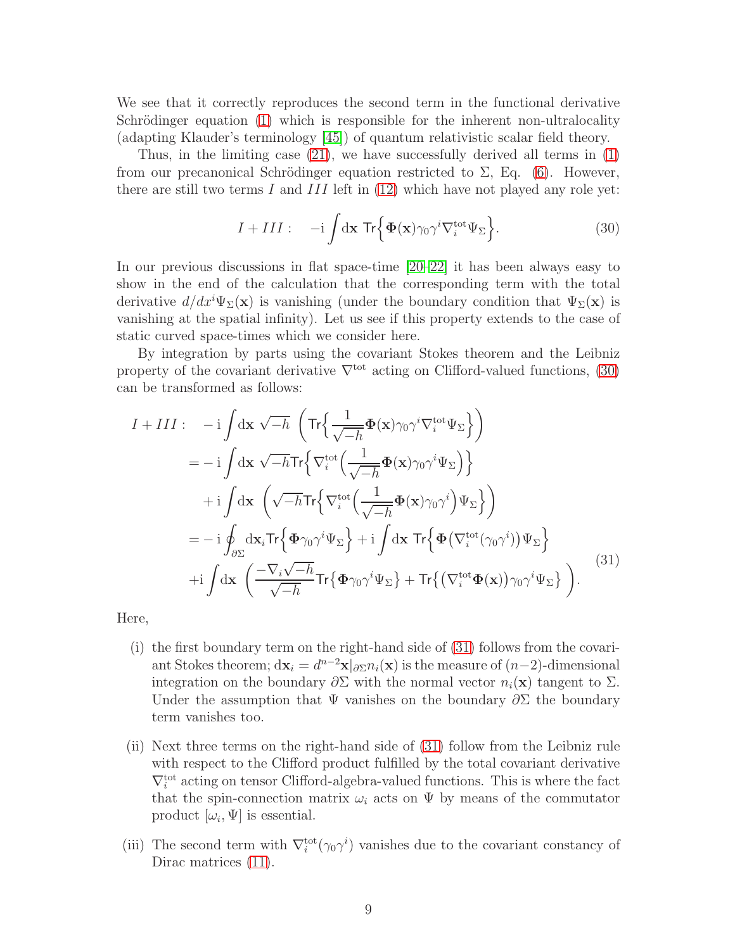We see that it correctly reproduces the second term in the functional derivative Schrödinger equation  $(1)$  which is responsible for the inherent non-ultralocality (adapting Klauder's terminology [\[45\]](#page-14-7)) of quantum relativistic scalar field theory.

Thus, in the limiting case  $(21)$ , we have successfully derived all terms in  $(1)$ from our precanonical Schrödinger equation restricted to  $\Sigma$ , Eq. [\(6\)](#page-4-0). However, there are still two terms  $I$  and  $III$  left in [\(12\)](#page-5-0) which have not played any role yet:

<span id="page-8-1"></span>
$$
I + III: -i \int dx \operatorname{Tr} \left\{ \Phi(x) \gamma_0 \gamma^i \nabla_i^{\text{tot}} \Psi_\Sigma \right\}.
$$
 (30)

In our previous discussions in flat space-time [\[20–](#page-13-0)[22\]](#page-13-1) it has been always easy to show in the end of the calculation that the corresponding term with the total derivative  $d/dx \Psi_{\Sigma}(\mathbf{x})$  is vanishing (under the boundary condition that  $\Psi_{\Sigma}(\mathbf{x})$  is vanishing at the spatial infinity). Let us see if this property extends to the case of static curved space-times which we consider here.

By integration by parts using the covariant Stokes theorem and the Leibniz property of the covariant derivative  $\nabla^{\text{tot}}$  acting on Clifford-valued functions, [\(30\)](#page-8-1) can be transformed as follows:

$$
I + III := -i \int dx \sqrt{-h} \left( \text{Tr} \left\{ \frac{1}{\sqrt{-h}} \Phi(\mathbf{x}) \gamma_0 \gamma^i \nabla_i^{\text{tot}} \Psi_{\Sigma} \right\} \right)
$$
  
\n
$$
= -i \int dx \sqrt{-h} \text{Tr} \left\{ \nabla_i^{\text{tot}} \left( \frac{1}{\sqrt{-h}} \Phi(\mathbf{x}) \gamma_0 \gamma^i \Psi_{\Sigma} \right) \right\}
$$
  
\n
$$
+i \int dx \left( \sqrt{-h} \text{Tr} \left\{ \nabla_i^{\text{tot}} \left( \frac{1}{\sqrt{-h}} \Phi(\mathbf{x}) \gamma_0 \gamma^i \Psi_{\Sigma} \right\} \right)
$$
  
\n
$$
= -i \oint_{\partial \Sigma} dx_i \text{Tr} \left\{ \Phi \gamma_0 \gamma^i \Psi_{\Sigma} \right\} + i \int dx \text{Tr} \left\{ \Phi \left( \nabla_i^{\text{tot}} (\gamma_0 \gamma^i) \right) \Psi_{\Sigma} \right\}
$$
  
\n
$$
+i \int dx \left( \frac{-\nabla_i \sqrt{-h}}{\sqrt{-h}} \text{Tr} \left\{ \Phi \gamma_0 \gamma^i \Psi_{\Sigma} \right\} + \text{Tr} \left\{ \left( \nabla_i^{\text{tot}} \Phi(\mathbf{x}) \right) \gamma_0 \gamma^i \Psi_{\Sigma} \right\} \right).
$$
  
\n(31)

Here,

- <span id="page-8-0"></span>(i) the first boundary term on the right-hand side of [\(31\)](#page-8-0) follows from the covariant Stokes theorem;  $d\mathbf{x}_i = d^{n-2}\mathbf{x}|_{\partial \Sigma} n_i(\mathbf{x})$  is the measure of  $(n-2)$ -dimensional integration on the boundary  $\partial \Sigma$  with the normal vector  $n_i(\mathbf{x})$  tangent to  $\Sigma$ . Under the assumption that  $\Psi$  vanishes on the boundary  $\partial \Sigma$  the boundary term vanishes too.
- (ii) Next three terms on the right-hand side of [\(31\)](#page-8-0) follow from the Leibniz rule with respect to the Clifford product fulfilled by the total covariant derivative  $\nabla_i^{\text{tot}}$  acting on tensor Clifford-algebra-valued functions. This is where the fact that the spin-connection matrix  $\omega_i$  acts on  $\Psi$  by means of the commutator product  $[\omega_i, \Psi]$  is essential.
- (iii) The second term with  $\nabla_i^{\text{tot}}(\gamma_0\gamma^i)$  vanishes due to the covariant constancy of Dirac matrices [\(11\)](#page-5-3).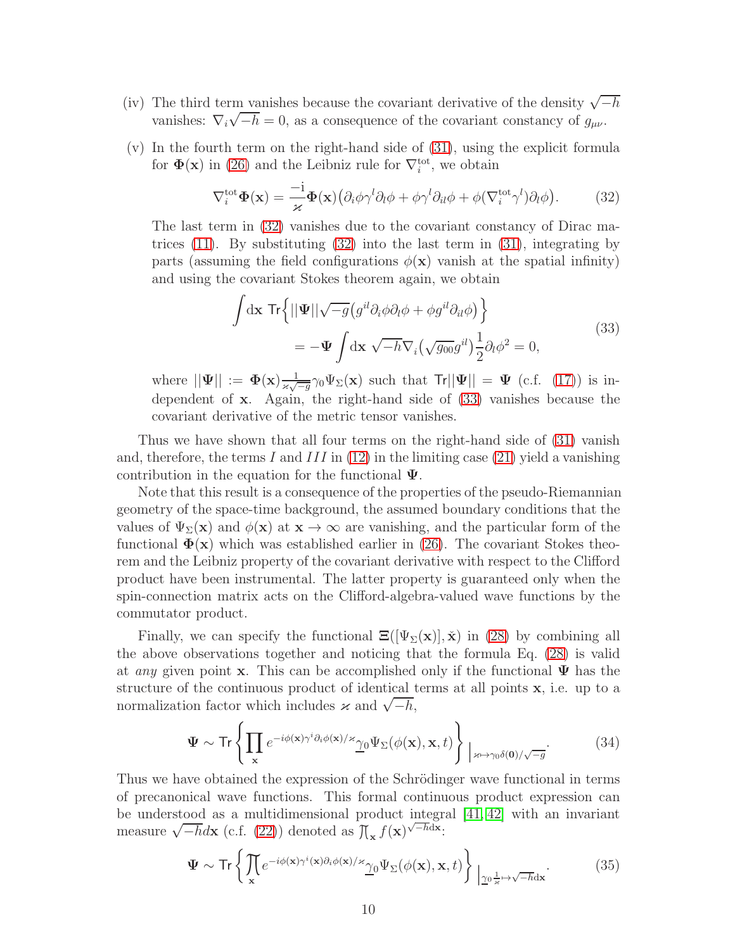- (iv) The third term vanishes because the covariant derivative of the density  $\sqrt{-h}$ vanishes:  $\nabla_i \sqrt{-h} = 0$ , as a consequence of the covariant constancy of  $g_{\mu\nu}$ .
- (v) In the fourth term on the right-hand side of [\(31\)](#page-8-0), using the explicit formula for  $\Phi(\mathbf{x})$  in [\(26\)](#page-7-1) and the Leibniz rule for  $\nabla_i^{\text{tot}}$ , we obtain

<span id="page-9-0"></span>
$$
\nabla_i^{\rm tot} \Phi(\mathbf{x}) = -\frac{i}{\varkappa} \Phi(\mathbf{x}) \big( \partial_i \phi \gamma^l \partial_l \phi + \phi \gamma^l \partial_{il} \phi + \phi (\nabla_i^{\rm tot} \gamma^l) \partial_l \phi \big). \tag{32}
$$

The last term in [\(32\)](#page-9-0) vanishes due to the covariant constancy of Dirac matrices  $(11)$ . By substituting  $(32)$  into the last term in  $(31)$ , integrating by parts (assuming the field configurations  $\phi(\mathbf{x})$  vanish at the spatial infinity) and using the covariant Stokes theorem again, we obtain

<span id="page-9-1"></span>
$$
\int d\mathbf{x} \operatorname{Tr} \left\{ ||\Psi||\sqrt{-g} \left(g^{il}\partial_i \phi \partial_l \phi + \phi g^{il}\partial_{il}\phi\right) \right\}
$$
\n
$$
= -\Psi \int d\mathbf{x} \sqrt{-h} \nabla_i \left(\sqrt{g_{00}} g^{il}\right) \frac{1}{2} \partial_l \phi^2 = 0,
$$
\n(33)

where  $||\Psi|| := \Phi(\mathbf{x}) \frac{1}{\varkappa \sqrt{-g}} \gamma_0 \Psi_\Sigma(\mathbf{x})$  such that  $Tr||\Psi|| = \Psi$  (c.f. [\(17\)](#page-6-0)) is independent of x. Again, the right-hand side of [\(33\)](#page-9-1) vanishes because the covariant derivative of the metric tensor vanishes.

Thus we have shown that all four terms on the right-hand side of [\(31\)](#page-8-0) vanish and, therefore, the terms I and III in [\(12\)](#page-5-0) in the limiting case [\(21\)](#page-6-1) yield a vanishing contribution in the equation for the functional  $\Psi$ .

Note that this result is a consequence of the properties of the pseudo-Riemannian geometry of the space-time background, the assumed boundary conditions that the values of  $\Psi_{\Sigma}(\mathbf{x})$  and  $\phi(\mathbf{x})$  at  $\mathbf{x} \to \infty$  are vanishing, and the particular form of the functional  $\Phi(\mathbf{x})$  which was established earlier in [\(26\)](#page-7-1). The covariant Stokes theorem and the Leibniz property of the covariant derivative with respect to the Clifford product have been instrumental. The latter property is guaranteed only when the spin-connection matrix acts on the Clifford-algebra-valued wave functions by the commutator product.

Finally, we can specify the functional  $\Xi([\Psi_{\Sigma}(\mathbf{x})], \check{\mathbf{x}})$  in [\(28\)](#page-7-2) by combining all the above observations together and noticing that the formula Eq. [\(28\)](#page-7-2) is valid at any given point **x**. This can be accomplished only if the functional  $\Psi$  has the structure of the continuous product of identical terms at all points x, i.e. up to a normalization factor which includes  $\varkappa$  and  $\sqrt{-h}$ ,

$$
\Psi \sim \text{Tr}\left\{ \prod_{\mathbf{x}} e^{-i\phi(\mathbf{x})\gamma^i \partial_i \phi(\mathbf{x})/z} \underline{\gamma}_0 \Psi_\Sigma(\phi(\mathbf{x}), \mathbf{x}, t) \right\} |_{z \mapsto \gamma_0 \delta(\mathbf{0})/\sqrt{-g}}.
$$
(34)

Thus we have obtained the expression of the Schrödinger wave functional in terms of precanonical wave functions. This formal continuous product expression can be understood as a multidimensional product integral [\[41,](#page-14-8) [42\]](#page-14-9) with an invariant measure  $\sqrt{-h}d\mathbf{x}$  (c.f. [\(22\)](#page-6-4)) denoted as  $\int_{-\infty}^{\infty} f(\mathbf{x})^{\sqrt{-h}d\mathbf{x}}$ :

<span id="page-9-2"></span>
$$
\Psi \sim \text{Tr}\left\{ \iint_{\mathbf{x}} e^{-i\phi(\mathbf{x})\gamma^i(\mathbf{x})\partial_i\phi(\mathbf{x})/z} \underline{\gamma}_0 \Psi_{\Sigma}(\phi(\mathbf{x}), \mathbf{x}, t) \right\} \Big|_{\mathcal{D}^{\frac{1}{z}} \mapsto \sqrt{-h} \mathrm{d}\mathbf{x}}.
$$
 (35)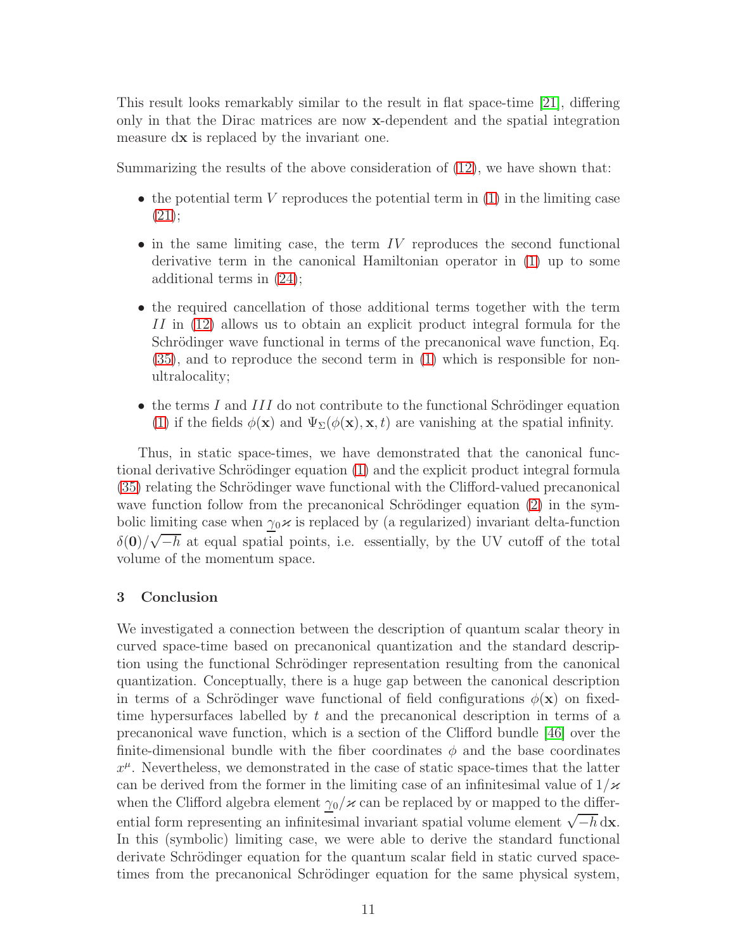This result looks remarkably similar to the result in flat space-time [\[21\]](#page-13-11), differing only in that the Dirac matrices are now x-dependent and the spatial integration measure dx is replaced by the invariant one.

Summarizing the results of the above consideration of [\(12\)](#page-5-0), we have shown that:

- the potential term V reproduces the potential term in  $(1)$  in the limiting case [\(21\)](#page-6-1);
- $\bullet$  in the same limiting case, the term IV reproduces the second functional derivative term in the canonical Hamiltonian operator in [\(1\)](#page-0-0) up to some additional terms in [\(24\)](#page-6-2);
- the required cancellation of those additional terms together with the term II in [\(12\)](#page-5-0) allows us to obtain an explicit product integral formula for the Schrödinger wave functional in terms of the precanonical wave function, Eq. [\(35\)](#page-9-2), and to reproduce the second term in [\(1\)](#page-0-0) which is responsible for nonultralocality;
- the terms I and III do not contribute to the functional Schrödinger equation [\(1\)](#page-0-0) if the fields  $\phi(\mathbf{x})$  and  $\Psi_{\Sigma}(\phi(\mathbf{x}), \mathbf{x}, t)$  are vanishing at the spatial infinity.

Thus, in static space-times, we have demonstrated that the canonical func-tional derivative Schrödinger equation [\(1\)](#page-0-0) and the explicit product integral formula [\(35\)](#page-9-2) relating the Schrödinger wave functional with the Clifford-valued precanonical wave function follow from the precanonical Schrödinger equation  $(2)$  in the symbolic limiting case when  $\gamma_0 \varkappa$  is replaced by (a regularized) invariant delta-function  $\delta(0)/\sqrt{-h}$  at equal spatial points, i.e. essentially, by the UV cutoff of the total volume of the momentum space.

## 3 Conclusion

We investigated a connection between the description of quantum scalar theory in curved space-time based on precanonical quantization and the standard description using the functional Schrödinger representation resulting from the canonical quantization. Conceptually, there is a huge gap between the canonical description in terms of a Schrödinger wave functional of field configurations  $\phi(\mathbf{x})$  on fixedtime hypersurfaces labelled by  $t$  and the precanonical description in terms of a precanonical wave function, which is a section of the Clifford bundle [\[46\]](#page-14-10) over the finite-dimensional bundle with the fiber coordinates  $\phi$  and the base coordinates  $x^{\mu}$ . Nevertheless, we demonstrated in the case of static space-times that the latter can be derived from the former in the limiting case of an infinitesimal value of  $1/\varkappa$ when the Clifford algebra element  $\gamma_0/\varkappa$  can be replaced by or mapped to the differential form representing an infinitesimal invariant spatial volume element  $\sqrt{-h} dx$ . In this (symbolic) limiting case, we were able to derive the standard functional derivate Schrödinger equation for the quantum scalar field in static curved spacetimes from the precanonical Schrödinger equation for the same physical system,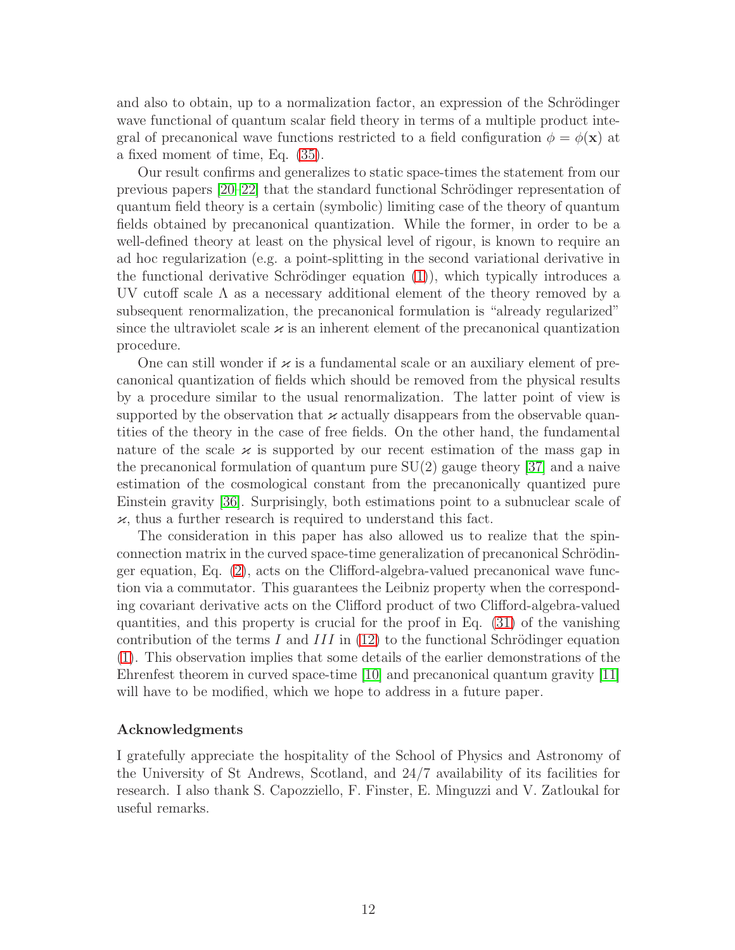and also to obtain, up to a normalization factor, an expression of the Schrödinger wave functional of quantum scalar field theory in terms of a multiple product integral of precanonical wave functions restricted to a field configuration  $\phi = \phi(\mathbf{x})$  at a fixed moment of time, Eq. [\(35\)](#page-9-2).

Our result confirms and generalizes to static space-times the statement from our previous papers  $[20-22]$  that the standard functional Schrödinger representation of quantum field theory is a certain (symbolic) limiting case of the theory of quantum fields obtained by precanonical quantization. While the former, in order to be a well-defined theory at least on the physical level of rigour, is known to require an ad hoc regularization (e.g. a point-splitting in the second variational derivative in the functional derivative Schrödinger equation  $(1)$ ), which typically introduces a UV cutoff scale  $\Lambda$  as a necessary additional element of the theory removed by a subsequent renormalization, the precanonical formulation is "already regularized" since the ultraviolet scale  $\varkappa$  is an inherent element of the precanonical quantization procedure.

One can still wonder if  $\varkappa$  is a fundamental scale or an auxiliary element of precanonical quantization of fields which should be removed from the physical results by a procedure similar to the usual renormalization. The latter point of view is supported by the observation that  $\varkappa$  actually disappears from the observable quantities of the theory in the case of free fields. On the other hand, the fundamental nature of the scale  $\varkappa$  is supported by our recent estimation of the mass gap in the precanonical formulation of quantum pure  $SU(2)$  gauge theory [\[37\]](#page-14-1) and a naive estimation of the cosmological constant from the precanonically quantized pure Einstein gravity [\[36\]](#page-14-0). Surprisingly, both estimations point to a subnuclear scale of  $\varkappa$ , thus a further research is required to understand this fact.

The consideration in this paper has also allowed us to realize that the spinconnection matrix in the curved space-time generalization of precanonical Schrödinger equation, Eq. [\(2\)](#page-1-0), acts on the Clifford-algebra-valued precanonical wave function via a commutator. This guarantees the Leibniz property when the corresponding covariant derivative acts on the Clifford product of two Clifford-algebra-valued quantities, and this property is crucial for the proof in Eq. [\(31\)](#page-8-0) of the vanishing contribution of the terms I and III in  $(12)$  to the functional Schrödinger equation [\(1\)](#page-0-0). This observation implies that some details of the earlier demonstrations of the Ehrenfest theorem in curved space-time [\[10\]](#page-12-4) and precanonical quantum gravity [\[11\]](#page-12-5) will have to be modified, which we hope to address in a future paper.

## Acknowledgments

I gratefully appreciate the hospitality of the School of Physics and Astronomy of the University of St Andrews, Scotland, and 24/7 availability of its facilities for research. I also thank S. Capozziello, F. Finster, E. Minguzzi and V. Zatloukal for useful remarks.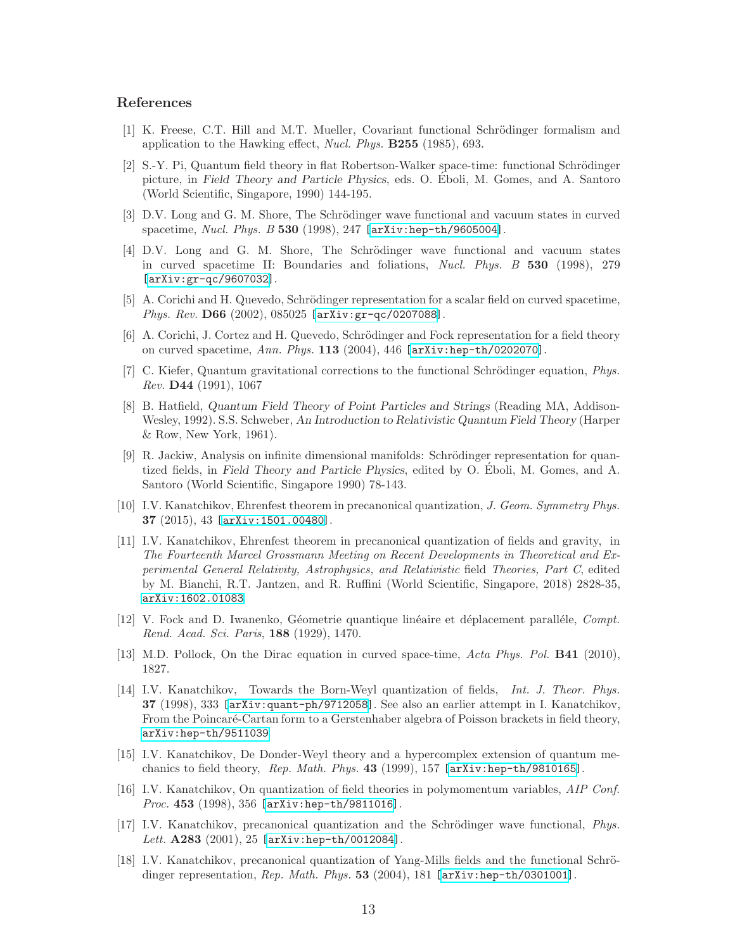#### <span id="page-12-0"></span>References

- [1] K. Freese, C.T. Hill and M.T. Mueller, Covariant functional Schrödinger formalism and application to the Hawking effect, Nucl. Phys. B255 (1985), 693.
- [2] S.-Y. Pi, Quantum field theory in flat Robertson-Walker space-time: functional Schrödinger picture, in Field Theory and Particle Physics, eds. O. Eboli, M. Gomes, and A. Santoro ´ (World Scientific, Singapore, 1990) 144-195.
- [3] D.V. Long and G. M. Shore, The Schrödinger wave functional and vacuum states in curved spacetime, Nucl. Phys. B 530 (1998), 247 [\[arXiv:hep-th/9605004\]](http://arxiv.org/abs/hep-th/9605004).
- [4] D.V. Long and G. M. Shore, The Schrödinger wave functional and vacuum states in curved spacetime II: Boundaries and foliations, Nucl. Phys. B 530 (1998), 279 [\[arXiv:gr-qc/9607032\]](http://arxiv.org/abs/gr-qc/9607032).
- [5] A. Corichi and H. Quevedo, Schrödinger representation for a scalar field on curved spacetime, Phys. Rev. D66 (2002), 085025 [\[arXiv:gr-qc/0207088\]](http://arxiv.org/abs/gr-qc/0207088).
- [6] A. Corichi, J. Cortez and H. Quevedo, Schrödinger and Fock representation for a field theory on curved spacetime, Ann. Phys. 113 (2004), 446 [\[arXiv:hep-th/0202070\]](http://arxiv.org/abs/hep-th/0202070).
- <span id="page-12-1"></span>[7] C. Kiefer, Quantum gravitational corrections to the functional Schrödinger equation, Phys. Rev. D44 (1991), 1067
- <span id="page-12-2"></span>[8] B. Hatfield, Quantum Field Theory of Point Particles and Strings (Reading MA, Addison-Wesley, 1992). S.S. Schweber, An Introduction to Relativistic Quantum Field Theory (Harper & Row, New York, 1961).
- <span id="page-12-3"></span>[9] R. Jackiw, Analysis on infinite dimensional manifolds: Schrödinger representation for quantized fields, in Field Theory and Particle Physics, edited by O. Eboli, M. Gomes, and A. ´ Santoro (World Scientific, Singapore 1990) 78-143.
- <span id="page-12-4"></span>[10] I.V. Kanatchikov, Ehrenfest theorem in precanonical quantization, J. Geom. Symmetry Phys. 37 (2015), 43 [\[arXiv:1501.00480\]](http://arxiv.org/abs/1501.00480).
- <span id="page-12-5"></span>[11] I.V. Kanatchikov, Ehrenfest theorem in precanonical quantization of fields and gravity, in The Fourteenth Marcel Grossmann Meeting on Recent Developments in Theoretical and Experimental General Relativity, Astrophysics, and Relativistic field Theories, Part C, edited by M. Bianchi, R.T. Jantzen, and R. Ruffini (World Scientific, Singapore, 2018) 2828-35, [arXiv:1602.01083](http://arxiv.org/abs/1602.01083).
- <span id="page-12-6"></span>[12] V. Fock and D. Iwanenko, Géometrie quantique linéaire et déplacement paralléle, Compt. Rend. Acad. Sci. Paris, 188 (1929), 1470.
- <span id="page-12-8"></span><span id="page-12-7"></span>[13] M.D. Pollock, On the Dirac equation in curved space-time, Acta Phys. Pol. B41 (2010), 1827.
- [14] I.V. Kanatchikov, Towards the Born-Weyl quantization of fields, *Int. J. Theor. Phys.* 37 (1998), 333 [\[arXiv:quant-ph/9712058\]](http://arxiv.org/abs/quant-ph/9712058). See also an earlier attempt in I. Kanatchikov, From the Poincaré-Cartan form to a Gerstenhaber algebra of Poisson brackets in field theory, [arXiv:hep-th/9511039](http://arxiv.org/abs/hep-th/9511039).
- [15] I.V. Kanatchikov, De Donder-Weyl theory and a hypercomplex extension of quantum mechanics to field theory, Rep. Math. Phys. 43 (1999), 157  $[\arXiv:hep-th/9810165]$ .
- <span id="page-12-9"></span>[16] I.V. Kanatchikov, On quantization of field theories in polymomentum variables, AIP Conf. Proc. 453 (1998), 356 [\[arXiv:hep-th/9811016\]](http://arxiv.org/abs/hep-th/9811016).
- <span id="page-12-10"></span>[17] I.V. Kanatchikov, precanonical quantization and the Schrödinger wave functional, *Phys.* Lett.  $A283$  (2001), 25 [\[arXiv:hep-th/0012084\]](http://arxiv.org/abs/hep-th/0012084).
- <span id="page-12-11"></span>[18] I.V. Kanatchikov, precanonical quantization of Yang-Mills fields and the functional Schrödinger representation, Rep. Math. Phys. 53 (2004), 181  $[arXiv:hep-th/0301001]$ .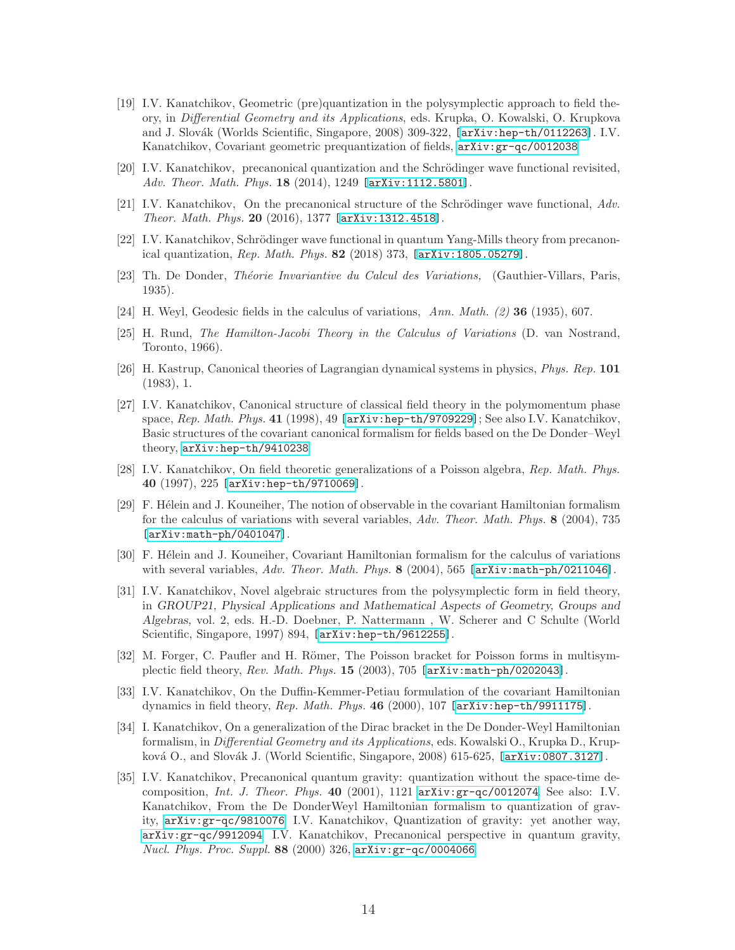- <span id="page-13-2"></span>[19] I.V. Kanatchikov, Geometric (pre)quantization in the polysymplectic approach to field theory, in Differential Geometry and its Applications, eds. Krupka, O. Kowalski, O. Krupkova and J. Slovák (Worlds Scientific, Singapore, 2008) 309-322, [\[arXiv:hep-th/0112263\]](http://arxiv.org/abs/hep-th/0112263). I.V. Kanatchikov, Covariant geometric prequantization of fields, [arXiv:gr-qc/0012038](http://arxiv.org/abs/gr-qc/0012038)
- <span id="page-13-11"></span><span id="page-13-0"></span>[20] I.V. Kanatchikov, precanonical quantization and the Schrödinger wave functional revisited, Adv. Theor. Math. Phys. 18 (2014), 1249 [\[arXiv:1112.5801\]](http://arxiv.org/abs/1112.5801).
- <span id="page-13-1"></span>[21] I.V. Kanatchikov, On the precanonical structure of the Schrödinger wave functional,  $Adv.$ Theor. Math. Phys. 20 (2016), 1377 [\[arXiv:1312.4518\]](http://arxiv.org/abs/1312.4518).
- <span id="page-13-3"></span>[22] I.V. Kanatchikov, Schrödinger wave functional in quantum Yang-Mills theory from precanonical quantization, Rep. Math. Phys. 82 (2018) 373, [\[arXiv:1805.05279\]](http://arxiv.org/abs/1805.05279).
- <span id="page-13-9"></span>[23] Th. De Donder, *Théorie Invariantive du Calcul des Variations*, (Gauthier-Villars, Paris, 1935).
- [24] H. Weyl, Geodesic fields in the calculus of variations, Ann. Math.  $(2)$  36 (1935), 607.
- [25] H. Rund, The Hamilton-Jacobi Theory in the Calculus of Variations (D. van Nostrand, Toronto, 1966).
- <span id="page-13-5"></span><span id="page-13-4"></span>[26] H. Kastrup, Canonical theories of Lagrangian dynamical systems in physics, Phys. Rep. 101 (1983), 1.
- [27] I.V. Kanatchikov, Canonical structure of classical field theory in the polymomentum phase space,  $Rep. Math. Phys. 41 (1998), 49 [arXiv:hep-th/9709229]; See also I.V. Kanatchikov,$  $Rep. Math. Phys. 41 (1998), 49 [arXiv:hep-th/9709229]; See also I.V. Kanatchikov,$  $Rep. Math. Phys. 41 (1998), 49 [arXiv:hep-th/9709229]; See also I.V. Kanatchikov,$ Basic structures of the covariant canonical formalism for fields based on the De Donder–Weyl theory, [arXiv:hep-th/9410238](http://arxiv.org/abs/hep-th/9410238).
- <span id="page-13-6"></span>[28] I.V. Kanatchikov, On field theoretic generalizations of a Poisson algebra, Rep. Math. Phys. 40 (1997), 225 [\[arXiv:hep-th/9710069\]](http://arxiv.org/abs/hep-th/9710069).
- <span id="page-13-7"></span>[29] F. Hélein and J. Kouneiher, The notion of observable in the covariant Hamiltonian formalism for the calculus of variations with several variables, Adv. Theor. Math. Phys. 8 (2004), 735 [\[arXiv:math-ph/0401047\]](http://arxiv.org/abs/math-ph/0401047).
- [30] F. Hélein and J. Kouneiher, Covariant Hamiltonian formalism for the calculus of variations with several variables, Adv. Theor. Math. Phys.  $8$  (2004), 565 [\[arXiv:math-ph/0211046\]](http://arxiv.org/abs/math-ph/0211046).
- [31] I.V. Kanatchikov, Novel algebraic structures from the polysymplectic form in field theory, in GROUP21, Physical Applications and Mathematical Aspects of Geometry, Groups and Algebras, vol. 2, eds. H.-D. Doebner, P. Nattermann , W. Scherer and C Schulte (World Scientific, Singapore, 1997) 894, [\[arXiv:hep-th/9612255\]](http://arxiv.org/abs/hep-th/9612255).
- [32] M. Forger, C. Paufler and H. Römer, The Poisson bracket for Poisson forms in multisymplectic field theory, Rev. Math. Phys. 15 (2003), 705  $[arXiv:math-ph/0202043]$ .
- [33] I.V. Kanatchikov, On the Duffin-Kemmer-Petiau formulation of the covariant Hamiltonian dynamics in field theory, Rep. Math. Phys. 46 (2000), 107  $[\ar{\text{Xiv:hep}-th/9911175}].$
- <span id="page-13-8"></span>[34] I. Kanatchikov, On a generalization of the Dirac bracket in the De Donder-Weyl Hamiltonian formalism, in Differential Geometry and its Applications, eds. Kowalski O., Krupka D., Krup-ková O., and Slovák J. (World Scientific, Singapore, 2008) 615-625, [\[arXiv:0807.3127\]](http://arxiv.org/abs/0807.3127).
- <span id="page-13-10"></span>[35] I.V. Kanatchikov, Precanonical quantum gravity: quantization without the space-time decomposition, Int. J. Theor. Phys. 40 (2001), 1121  $arXiv:gr-qc/0012074$ . See also: I.V. Kanatchikov, From the De DonderWeyl Hamiltonian formalism to quantization of gravity, [arXiv:gr-qc/9810076](http://arxiv.org/abs/gr-qc/9810076); I.V. Kanatchikov, Quantization of gravity: yet another way, [arXiv:gr-qc/9912094](http://arxiv.org/abs/gr-qc/9912094); I.V. Kanatchikov, Precanonical perspective in quantum gravity, Nucl. Phys. Proc. Suppl. 88 (2000) 326, [arXiv:gr-qc/0004066](http://arxiv.org/abs/gr-qc/0004066).